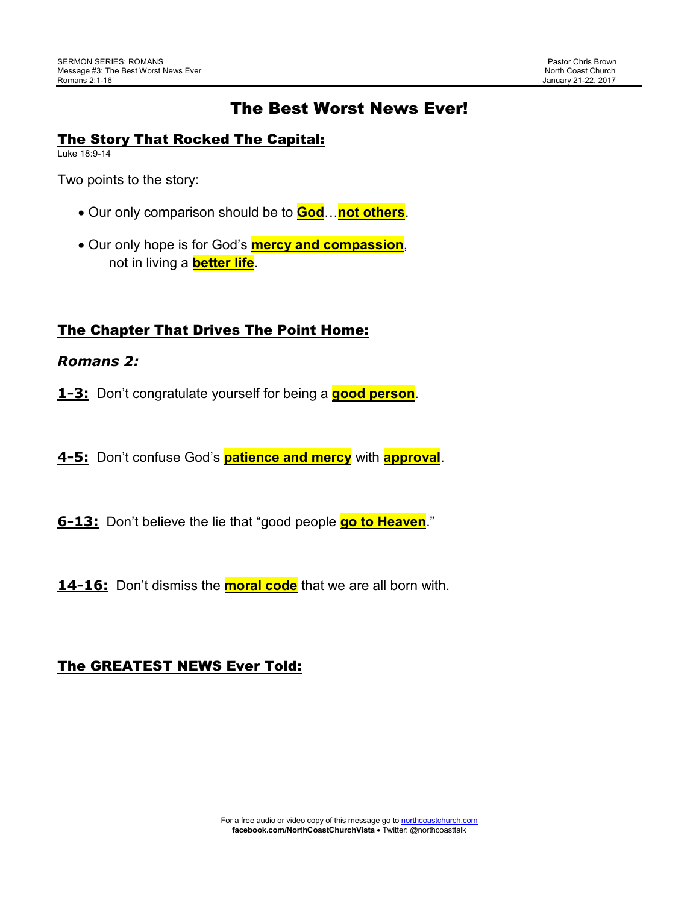# The Best Worst News Ever!

## The Story That Rocked The Capital:

Luke 18:9-14

Two points to the story:

- Our only comparison should be to **God**…**not others**.
- Our only hope is for God's **mercy and compassion**, not in living a **better life**.

## The Chapter That Drives The Point Home:

#### *Romans 2:*

- **1-3:** Don't congratulate yourself for being a **good person**.
- **4-5:** Don't confuse God's **patience and mercy** with **approval**.
- **6-13:** Don't believe the lie that "good people **go to Heaven**."
- **14-16:** Don't dismiss the **moral code** that we are all born with.

## The GREATEST NEWS Ever Told: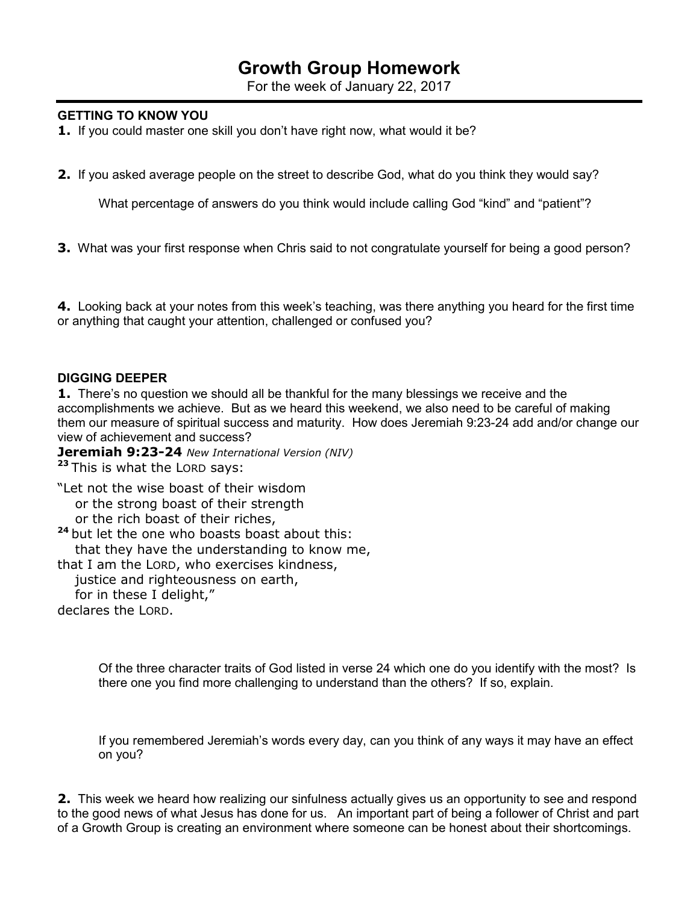# **Growth Group Homework**

For the week of January 22, 2017

#### **GETTING TO KNOW YOU**

**1.** If you could master one skill you don't have right now, what would it be?

**2.** If you asked average people on the street to describe God, what do you think they would say?

What percentage of answers do you think would include calling God "kind" and "patient"?

**3.** What was your first response when Chris said to not congratulate yourself for being a good person?

**4.** Looking back at your notes from this week's teaching, was there anything you heard for the first time or anything that caught your attention, challenged or confused you?

#### **DIGGING DEEPER**

**1.** There's no question we should all be thankful for the many blessings we receive and the accomplishments we achieve. But as we heard this weekend, we also need to be careful of making them our measure of spiritual success and maturity. How does Jeremiah 9:23-24 add and/or change our view of achievement and success?

**Jeremiah 9:23-24** *New International Version (NIV)*

**<sup>23</sup>**This is what the LORD says:

"Let not the wise boast of their wisdom or the strong boast of their strength or the rich boast of their riches,

<sup>24</sup> but let the one who boasts boast about this:

that they have the understanding to know me,

that I am the LORD, who exercises kindness,

 justice and righteousness on earth, for in these I delight," declares the LORD.

Of the three character traits of God listed in verse 24 which one do you identify with the most? Is there one you find more challenging to understand than the others? If so, explain.

If you remembered Jeremiah's words every day, can you think of any ways it may have an effect on you?

**2.** This week we heard how realizing our sinfulness actually gives us an opportunity to see and respond to the good news of what Jesus has done for us. An important part of being a follower of Christ and part of a Growth Group is creating an environment where someone can be honest about their shortcomings.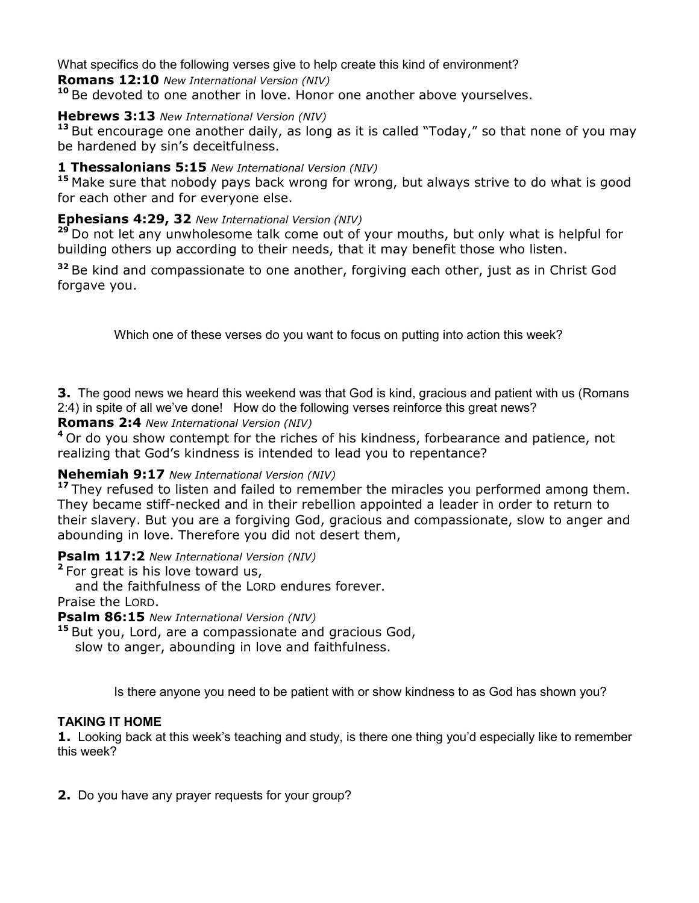What specifics do the following verses give to help create this kind of environment?

**Romans 12:10** *New International Version (NIV)*

**<sup>10</sup>**Be devoted to one another in love. Honor one another above yourselves.

## **Hebrews 3:13** *New International Version (NIV)*

**<sup>13</sup>**But encourage one another daily, as long as it is called "Today," so that none of you may be hardened by sin's deceitfulness.

## **1 Thessalonians 5:15** *New International Version (NIV)*

**<sup>15</sup>**Make sure that nobody pays back wrong for wrong, but always strive to do what is good for each other and for everyone else.

## **Ephesians 4:29, 32** *New International Version (NIV)*

**<sup>29</sup>**Do not let any unwholesome talk come out of your mouths, but only what is helpful for building others up according to their needs, that it may benefit those who listen.

**<sup>32</sup>**Be kind and compassionate to one another, forgiving each other, just as in Christ God forgave you.

Which one of these verses do you want to focus on putting into action this week?

**3.** The good news we heard this weekend was that God is kind, gracious and patient with us (Romans 2:4) in spite of all we've done! How do the following verses reinforce this great news?

**Romans 2:4** *New International Version (NIV)*

<sup>4</sup> Or do you show contempt for the riches of his kindness, forbearance and patience, not realizing that God's kindness is intended to lead you to repentance?

## **Nehemiah 9:17** *New International Version (NIV)*

<sup>17</sup> They refused to listen and failed to remember the miracles you performed among them. They became stiff-necked and in their rebellion appointed a leader in order to return to their slavery. But you are a forgiving God, gracious and compassionate, slow to anger and abounding in love. Therefore you did not desert them,

## **Psalm 117:2** *New International Version (NIV)*

<sup>2</sup> For great is his love toward us, and the faithfulness of the LORD endures forever. Praise the LORD.

**Psalm 86:15** *New International Version (NIV)* 

**<sup>15</sup>**But you, Lord, are a compassionate and gracious God, slow to anger, abounding in love and faithfulness.

Is there anyone you need to be patient with or show kindness to as God has shown you?

## **TAKING IT HOME**

**1.** Looking back at this week's teaching and study, is there one thing you'd especially like to remember this week?

**2.** Do you have any prayer requests for your group?